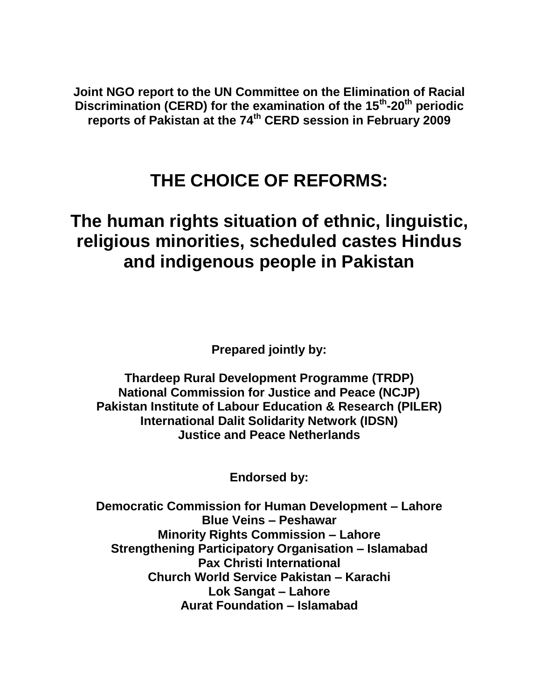**Joint NGO report to the UN Committee on the Elimination of Racial Discrimination (CERD) for the examination of the 15th -20th periodic reports of Pakistan at the 74th CERD session in February 2009**

# **THE CHOICE OF REFORMS:**

# **The human rights situation of ethnic, linguistic, religious minorities, scheduled castes Hindus and indigenous people in Pakistan**

**Prepared jointly by:**

**Thardeep Rural Development Programme (TRDP) National Commission for Justice and Peace (NCJP) Pakistan Institute of Labour Education & Research (PILER) International Dalit Solidarity Network (IDSN) Justice and Peace Netherlands**

**Endorsed by:**

**Democratic Commission for Human Development – Lahore Blue Veins – Peshawar Minority Rights Commission – Lahore Strengthening Participatory Organisation – Islamabad Pax Christi International Church World Service Pakistan – Karachi Lok Sangat – Lahore Aurat Foundation – Islamabad**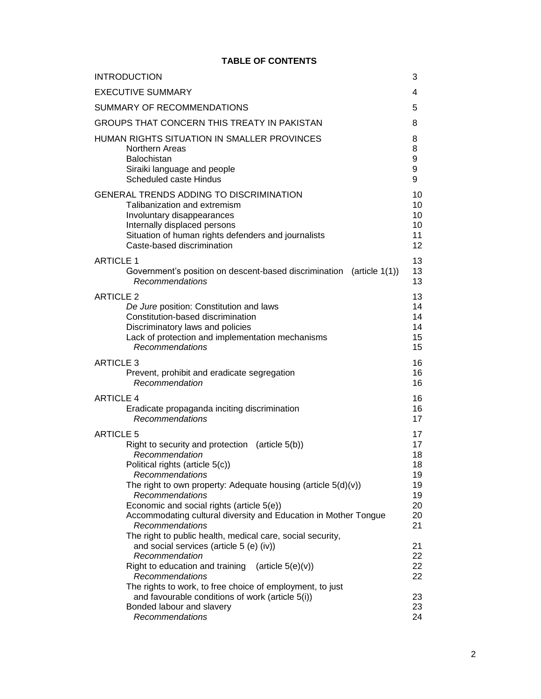# **TABLE OF CONTENTS**

| <b>INTRODUCTION</b>                                                                                                                                                                                   | 3                    |
|-------------------------------------------------------------------------------------------------------------------------------------------------------------------------------------------------------|----------------------|
| <b>EXECUTIVE SUMMARY</b>                                                                                                                                                                              | 4                    |
| SUMMARY OF RECOMMENDATIONS                                                                                                                                                                            | 5                    |
| GROUPS THAT CONCERN THIS TREATY IN PAKISTAN                                                                                                                                                           | 8                    |
| HUMAN RIGHTS SITUATION IN SMALLER PROVINCES                                                                                                                                                           | 8                    |
| <b>Northern Areas</b>                                                                                                                                                                                 | 8                    |
| <b>Balochistan</b>                                                                                                                                                                                    | 9                    |
| Siraiki language and people                                                                                                                                                                           | 9                    |
| <b>Scheduled caste Hindus</b>                                                                                                                                                                         | 9                    |
| GENERAL TRENDS ADDING TO DISCRIMINATION                                                                                                                                                               | 10                   |
| Talibanization and extremism                                                                                                                                                                          | 10                   |
| Involuntary disappearances                                                                                                                                                                            | 10                   |
| Internally displaced persons                                                                                                                                                                          | 10                   |
| Situation of human rights defenders and journalists                                                                                                                                                   | 11                   |
| Caste-based discrimination                                                                                                                                                                            | 12                   |
| <b>ARTICLE 1</b>                                                                                                                                                                                      | 13                   |
| Government's position on descent-based discrimination (article 1(1))                                                                                                                                  | 13                   |
| Recommendations                                                                                                                                                                                       | 13                   |
| <b>ARTICLE 2</b>                                                                                                                                                                                      | 13                   |
| De Jure position: Constitution and laws                                                                                                                                                               | 14                   |
| Constitution-based discrimination                                                                                                                                                                     | 14                   |
| Discriminatory laws and policies                                                                                                                                                                      | 14                   |
| Lack of protection and implementation mechanisms                                                                                                                                                      | 15                   |
| Recommendations                                                                                                                                                                                       | 15                   |
| <b>ARTICLE 3</b>                                                                                                                                                                                      | 16                   |
| Prevent, prohibit and eradicate segregation                                                                                                                                                           | 16                   |
| Recommendation                                                                                                                                                                                        | 16                   |
| <b>ARTICLE 4</b>                                                                                                                                                                                      | 16                   |
| Eradicate propaganda inciting discrimination                                                                                                                                                          | 16                   |
| Recommendations                                                                                                                                                                                       | 17                   |
| <b>ARTICLE 5</b>                                                                                                                                                                                      | 17                   |
| Right to security and protection (article $5(b)$ )                                                                                                                                                    | 17                   |
| Recommendation                                                                                                                                                                                        | 18                   |
| Political rights (article 5(c))                                                                                                                                                                       | 18                   |
| Recommendations                                                                                                                                                                                       | 19                   |
| The right to own property: Adequate housing (article $5(d)(v)$ )                                                                                                                                      | 19                   |
| Recommendations                                                                                                                                                                                       | 19                   |
| Economic and social rights (article 5(e))                                                                                                                                                             | 20                   |
| Accommodating cultural diversity and Education in Mother Tongue<br>Recommendations<br>The right to public health, medical care, social security,                                                      | 20<br>21             |
| and social services (article 5 (e) (iv))<br>Recommendation<br>Right to education and training<br>(article $5(e)(v)$ )<br>Recommendations<br>The rights to work, to free choice of employment, to just | 21<br>22<br>22<br>22 |
| and favourable conditions of work (article 5(i))                                                                                                                                                      | 23                   |
| Bonded labour and slavery                                                                                                                                                                             | 23                   |
| Recommendations                                                                                                                                                                                       | 24                   |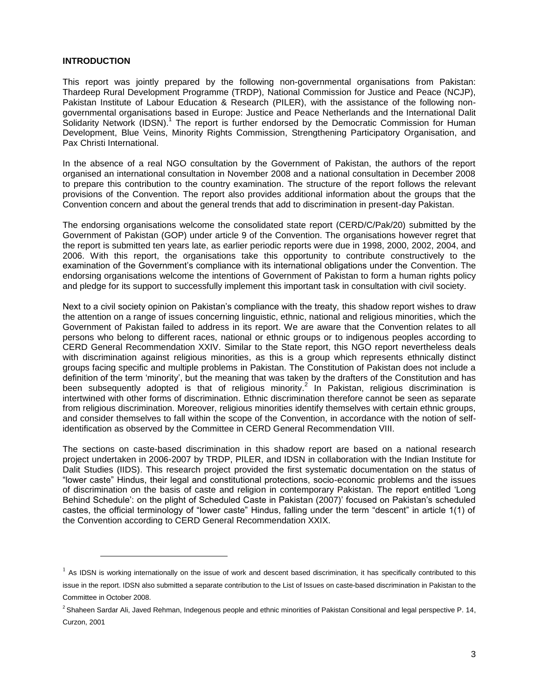#### **INTRODUCTION**

 $\overline{a}$ 

This report was jointly prepared by the following non-governmental organisations from Pakistan: Thardeep Rural Development Programme (TRDP), National Commission for Justice and Peace (NCJP), Pakistan Institute of Labour Education & Research (PILER), with the assistance of the following nongovernmental organisations based in Europe: Justice and Peace Netherlands and the International Dalit Solidarity Network (IDSN).<sup>1</sup> The report is further endorsed by the Democratic Commission for Human Development, Blue Veins, Minority Rights Commission, Strengthening Participatory Organisation, and Pax Christi International.

In the absence of a real NGO consultation by the Government of Pakistan, the authors of the report organised an international consultation in November 2008 and a national consultation in December 2008 to prepare this contribution to the country examination. The structure of the report follows the relevant provisions of the Convention. The report also provides additional information about the groups that the Convention concern and about the general trends that add to discrimination in present-day Pakistan.

The endorsing organisations welcome the consolidated state report (CERD/C/Pak/20) submitted by the Government of Pakistan (GOP) under article 9 of the Convention. The organisations however regret that the report is submitted ten years late, as earlier periodic reports were due in 1998, 2000, 2002, 2004, and 2006. With this report, the organisations take this opportunity to contribute constructively to the examination of the Government's compliance with its international obligations under the Convention. The endorsing organisations welcome the intentions of Government of Pakistan to form a human rights policy and pledge for its support to successfully implement this important task in consultation with civil society.

Next to a civil society opinion on Pakistan's compliance with the treaty, this shadow report wishes to draw the attention on a range of issues concerning linguistic, ethnic, national and religious minorities, which the Government of Pakistan failed to address in its report. We are aware that the Convention relates to all persons who belong to different races, national or ethnic groups or to indigenous peoples according to CERD General Recommendation XXIV. Similar to the State report, this NGO report nevertheless deals with discrimination against religious minorities, as this is a group which represents ethnically distinct groups facing specific and multiple problems in Pakistan. The Constitution of Pakistan does not include a definition of the term 'minority', but the meaning that was taken by the drafters of the Constitution and has been subsequently adopted is that of religious minority.<sup>2</sup> In Pakistan, religious discrimination is intertwined with other forms of discrimination. Ethnic discrimination therefore cannot be seen as separate from religious discrimination. Moreover, religious minorities identify themselves with certain ethnic groups, and consider themselves to fall within the scope of the Convention, in accordance with the notion of selfidentification as observed by the Committee in CERD General Recommendation VIII.

The sections on caste-based discrimination in this shadow report are based on a national research project undertaken in 2006-2007 by TRDP, PILER, and IDSN in collaboration with the Indian Institute for Dalit Studies (IIDS). This research project provided the first systematic documentation on the status of ―lower caste‖ Hindus, their legal and constitutional protections, socio-economic problems and the issues of discrimination on the basis of caste and religion in contemporary Pakistan. The report entitled ‗Long Behind Schedule': on the plight of Scheduled Caste in Pakistan (2007)' focused on Pakistan's scheduled castes, the official terminology of "lower caste" Hindus, falling under the term "descent" in article 1(1) of the Convention according to CERD General Recommendation XXIX.

 $1$  As IDSN is working internationally on the issue of work and descent based discrimination, it has specifically contributed to this issue in the report. IDSN also submitted a separate contribution to the List of Issues on caste-based discrimination in Pakistan to the Committee in October 2008.

<sup>&</sup>lt;sup>2</sup> Shaheen Sardar Ali, Javed Rehman, Indegenous people and ethnic minorities of Pakistan Consitional and legal perspective P. 14, Curzon, 2001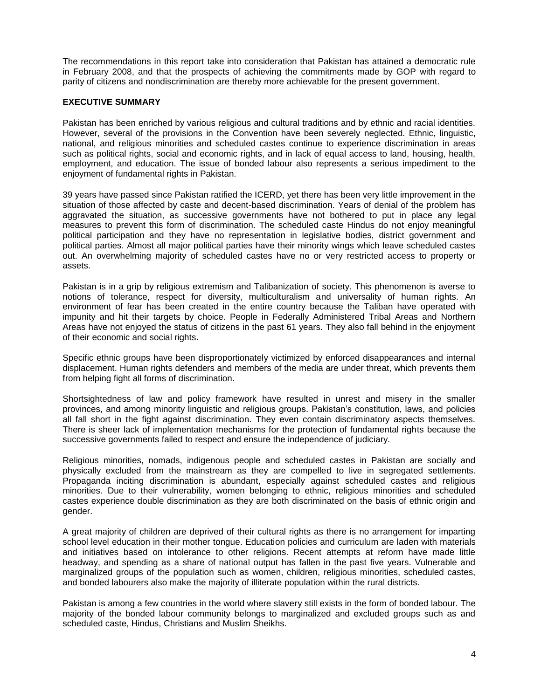The recommendations in this report take into consideration that Pakistan has attained a democratic rule in February 2008, and that the prospects of achieving the commitments made by GOP with regard to parity of citizens and nondiscrimination are thereby more achievable for the present government.

# **EXECUTIVE SUMMARY**

Pakistan has been enriched by various religious and cultural traditions and by ethnic and racial identities. However, several of the provisions in the Convention have been severely neglected. Ethnic, linguistic, national, and religious minorities and scheduled castes continue to experience discrimination in areas such as political rights, social and economic rights, and in lack of equal access to land, housing, health, employment, and education. The issue of bonded labour also represents a serious impediment to the enjoyment of fundamental rights in Pakistan.

39 years have passed since Pakistan ratified the ICERD, yet there has been very little improvement in the situation of those affected by caste and decent-based discrimination. Years of denial of the problem has aggravated the situation, as successive governments have not bothered to put in place any legal measures to prevent this form of discrimination. The scheduled caste Hindus do not enjoy meaningful political participation and they have no representation in legislative bodies, district government and political parties. Almost all major political parties have their minority wings which leave scheduled castes out. An overwhelming majority of scheduled castes have no or very restricted access to property or assets.

Pakistan is in a grip by religious extremism and Talibanization of society. This phenomenon is averse to notions of tolerance, respect for diversity, multiculturalism and universality of human rights. An environment of fear has been created in the entire country because the Taliban have operated with impunity and hit their targets by choice. People in Federally Administered Tribal Areas and Northern Areas have not enjoyed the status of citizens in the past 61 years. They also fall behind in the enjoyment of their economic and social rights.

Specific ethnic groups have been disproportionately victimized by enforced disappearances and internal displacement. Human rights defenders and members of the media are under threat, which prevents them from helping fight all forms of discrimination.

Shortsightedness of law and policy framework have resulted in unrest and misery in the smaller provinces, and among minority linguistic and religious groups. Pakistan's constitution, laws, and policies all fall short in the fight against discrimination. They even contain discriminatory aspects themselves. There is sheer lack of implementation mechanisms for the protection of fundamental rights because the successive governments failed to respect and ensure the independence of judiciary.

Religious minorities, nomads, indigenous people and scheduled castes in Pakistan are socially and physically excluded from the mainstream as they are compelled to live in segregated settlements. Propaganda inciting discrimination is abundant, especially against scheduled castes and religious minorities. Due to their vulnerability, women belonging to ethnic, religious minorities and scheduled castes experience double discrimination as they are both discriminated on the basis of ethnic origin and gender.

A great majority of children are deprived of their cultural rights as there is no arrangement for imparting school level education in their mother tongue. Education policies and curriculum are laden with materials and initiatives based on intolerance to other religions. Recent attempts at reform have made little headway, and spending as a share of national output has fallen in the past five years. Vulnerable and marginalized groups of the population such as women, children, religious minorities, scheduled castes, and bonded labourers also make the majority of illiterate population within the rural districts.

Pakistan is among a few countries in the world where slavery still exists in the form of bonded labour. The majority of the bonded labour community belongs to marginalized and excluded groups such as and scheduled caste, Hindus, Christians and Muslim Sheikhs.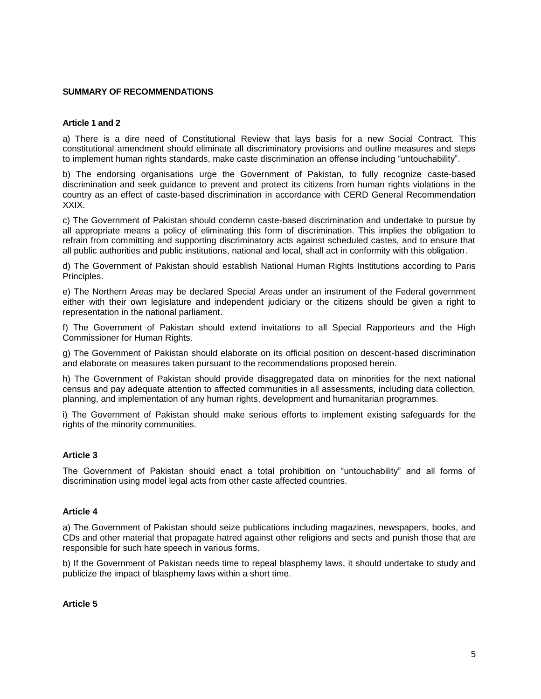# **SUMMARY OF RECOMMENDATIONS**

#### **Article 1 and 2**

a) There is a dire need of Constitutional Review that lays basis for a new Social Contract. This constitutional amendment should eliminate all discriminatory provisions and outline measures and steps to implement human rights standards, make caste discrimination an offense including "untouchability".

b) The endorsing organisations urge the Government of Pakistan, to fully recognize caste-based discrimination and seek guidance to prevent and protect its citizens from human rights violations in the country as an effect of caste-based discrimination in accordance with CERD General Recommendation XXIX.

c) The Government of Pakistan should condemn caste-based discrimination and undertake to pursue by all appropriate means a policy of eliminating this form of discrimination. This implies the obligation to refrain from committing and supporting discriminatory acts against scheduled castes, and to ensure that all public authorities and public institutions, national and local, shall act in conformity with this obligation.

d) The Government of Pakistan should establish National Human Rights Institutions according to Paris Principles.

e) The Northern Areas may be declared Special Areas under an instrument of the Federal government either with their own legislature and independent judiciary or the citizens should be given a right to representation in the national parliament.

f) The Government of Pakistan should extend invitations to all Special Rapporteurs and the High Commissioner for Human Rights.

g) The Government of Pakistan should elaborate on its official position on descent-based discrimination and elaborate on measures taken pursuant to the recommendations proposed herein.

h) The Government of Pakistan should provide disaggregated data on minorities for the next national census and pay adequate attention to affected communities in all assessments, including data collection, planning, and implementation of any human rights, development and humanitarian programmes.

i) The Government of Pakistan should make serious efforts to implement existing safeguards for the rights of the minority communities.

#### **Article 3**

The Government of Pakistan should enact a total prohibition on "untouchability" and all forms of discrimination using model legal acts from other caste affected countries.

#### **Article 4**

a) The Government of Pakistan should seize publications including magazines, newspapers, books, and CDs and other material that propagate hatred against other religions and sects and punish those that are responsible for such hate speech in various forms.

b) If the Government of Pakistan needs time to repeal blasphemy laws, it should undertake to study and publicize the impact of blasphemy laws within a short time.

**Article 5**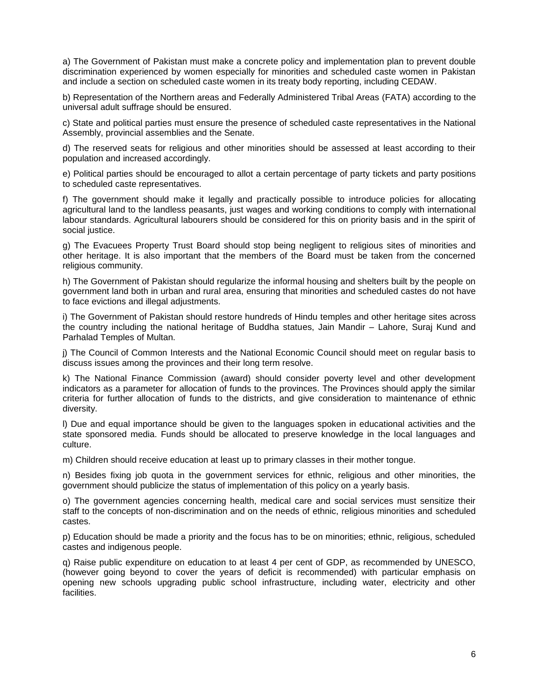a) The Government of Pakistan must make a concrete policy and implementation plan to prevent double discrimination experienced by women especially for minorities and scheduled caste women in Pakistan and include a section on scheduled caste women in its treaty body reporting, including CEDAW.

b) Representation of the Northern areas and Federally Administered Tribal Areas (FATA) according to the universal adult suffrage should be ensured.

c) State and political parties must ensure the presence of scheduled caste representatives in the National Assembly, provincial assemblies and the Senate.

d) The reserved seats for religious and other minorities should be assessed at least according to their population and increased accordingly.

e) Political parties should be encouraged to allot a certain percentage of party tickets and party positions to scheduled caste representatives.

f) The government should make it legally and practically possible to introduce policies for allocating agricultural land to the landless peasants, just wages and working conditions to comply with international labour standards. Agricultural labourers should be considered for this on priority basis and in the spirit of social justice.

g) The Evacuees Property Trust Board should stop being negligent to religious sites of minorities and other heritage. It is also important that the members of the Board must be taken from the concerned religious community.

h) The Government of Pakistan should regularize the informal housing and shelters built by the people on government land both in urban and rural area, ensuring that minorities and scheduled castes do not have to face evictions and illegal adjustments.

i) The Government of Pakistan should restore hundreds of Hindu temples and other heritage sites across the country including the national heritage of Buddha statues, Jain Mandir – Lahore, Suraj Kund and Parhalad Temples of Multan.

j) The Council of Common Interests and the National Economic Council should meet on regular basis to discuss issues among the provinces and their long term resolve.

k) The National Finance Commission (award) should consider poverty level and other development indicators as a parameter for allocation of funds to the provinces. The Provinces should apply the similar criteria for further allocation of funds to the districts, and give consideration to maintenance of ethnic diversity.

l) Due and equal importance should be given to the languages spoken in educational activities and the state sponsored media. Funds should be allocated to preserve knowledge in the local languages and culture.

m) Children should receive education at least up to primary classes in their mother tongue.

n) Besides fixing job quota in the government services for ethnic, religious and other minorities, the government should publicize the status of implementation of this policy on a yearly basis.

o) The government agencies concerning health, medical care and social services must sensitize their staff to the concepts of non-discrimination and on the needs of ethnic, religious minorities and scheduled castes.

p) Education should be made a priority and the focus has to be on minorities; ethnic, religious, scheduled castes and indigenous people.

q) Raise public expenditure on education to at least 4 per cent of GDP, as recommended by UNESCO, (however going beyond to cover the years of deficit is recommended) with particular emphasis on opening new schools upgrading public school infrastructure, including water, electricity and other facilities.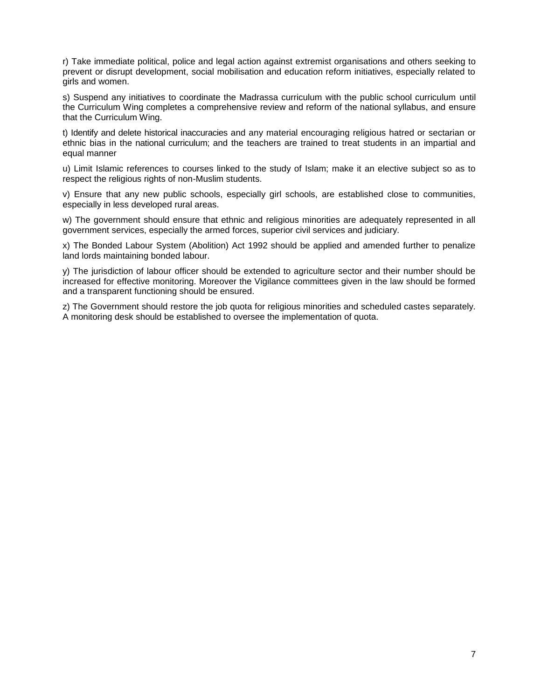r) Take immediate political, police and legal action against extremist organisations and others seeking to prevent or disrupt development, social mobilisation and education reform initiatives, especially related to girls and women.

s) Suspend any initiatives to coordinate the Madrassa curriculum with the public school curriculum until the Curriculum Wing completes a comprehensive review and reform of the national syllabus, and ensure that the Curriculum Wing.

t) Identify and delete historical inaccuracies and any material encouraging religious hatred or sectarian or ethnic bias in the national curriculum; and the teachers are trained to treat students in an impartial and equal manner

u) Limit Islamic references to courses linked to the study of Islam; make it an elective subject so as to respect the religious rights of non-Muslim students.

v) Ensure that any new public schools, especially girl schools, are established close to communities, especially in less developed rural areas.

w) The government should ensure that ethnic and religious minorities are adequately represented in all government services, especially the armed forces, superior civil services and judiciary.

x) The Bonded Labour System (Abolition) Act 1992 should be applied and amended further to penalize land lords maintaining bonded labour.

y) The jurisdiction of labour officer should be extended to agriculture sector and their number should be increased for effective monitoring. Moreover the Vigilance committees given in the law should be formed and a transparent functioning should be ensured.

z) The Government should restore the job quota for religious minorities and scheduled castes separately. A monitoring desk should be established to oversee the implementation of quota.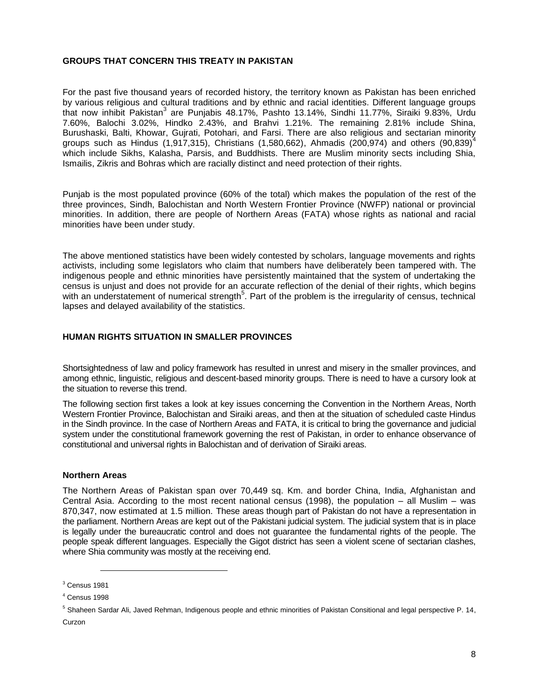# **GROUPS THAT CONCERN THIS TREATY IN PAKISTAN**

For the past five thousand years of recorded history, the territory known as Pakistan has been enriched by various religious and cultural traditions and by ethnic and racial identities. Different language groups that now inhibit Pakistan<sup>3</sup> are Punjabis 48.17%, Pashto 13.14%, Sindhi 11.77%, Siraiki 9.83%, Urdu 7.60%, Balochi 3.02%, Hindko 2.43%, and Brahvi 1.21%. The remaining 2.81% include Shina, Burushaski, Balti, Khowar, Gujrati, Potohari, and Farsi. There are also religious and sectarian minority groups such as Hindus (1,917,315), Christians (1,580,662), Ahmadis (200,974) and others (90,839)<sup>4</sup> which include Sikhs, Kalasha, Parsis, and Buddhists. There are Muslim minority sects including Shia, Ismailis, Zikris and Bohras which are racially distinct and need protection of their rights.

Punjab is the most populated province (60% of the total) which makes the population of the rest of the three provinces, Sindh, Balochistan and North Western Frontier Province (NWFP) national or provincial minorities. In addition, there are people of Northern Areas (FATA) whose rights as national and racial minorities have been under study.

The above mentioned statistics have been widely contested by scholars, language movements and rights activists, including some legislators who claim that numbers have deliberately been tampered with. The indigenous people and ethnic minorities have persistently maintained that the system of undertaking the census is unjust and does not provide for an accurate reflection of the denial of their rights, which begins with an understatement of numerical strength<sup>5</sup>. Part of the problem is the irregularity of census, technical lapses and delayed availability of the statistics.

# **HUMAN RIGHTS SITUATION IN SMALLER PROVINCES**

Shortsightedness of law and policy framework has resulted in unrest and misery in the smaller provinces, and among ethnic, linguistic, religious and descent-based minority groups. There is need to have a cursory look at the situation to reverse this trend.

The following section first takes a look at key issues concerning the Convention in the Northern Areas, North Western Frontier Province, Balochistan and Siraiki areas, and then at the situation of scheduled caste Hindus in the Sindh province. In the case of Northern Areas and FATA, it is critical to bring the governance and judicial system under the constitutional framework governing the rest of Pakistan, in order to enhance observance of constitutional and universal rights in Balochistan and of derivation of Siraiki areas.

#### **Northern Areas**

The Northern Areas of Pakistan span over 70,449 sq. Km. and border China, India, Afghanistan and Central Asia. According to the most recent national census (1998), the population – all Muslim – was 870,347, now estimated at 1.5 million. These areas though part of Pakistan do not have a representation in the parliament. Northern Areas are kept out of the Pakistani judicial system. The judicial system that is in place is legally under the bureaucratic control and does not guarantee the fundamental rights of the people. The people speak different languages. Especially the Gigot district has seen a violent scene of sectarian clashes, where Shia community was mostly at the receiving end.

<sup>3</sup> Census 1981

<sup>4</sup> Census 1998

<sup>&</sup>lt;sup>5</sup> Shaheen Sardar Ali, Javed Rehman, Indigenous people and ethnic minorities of Pakistan Consitional and legal perspective P. 14, Curzon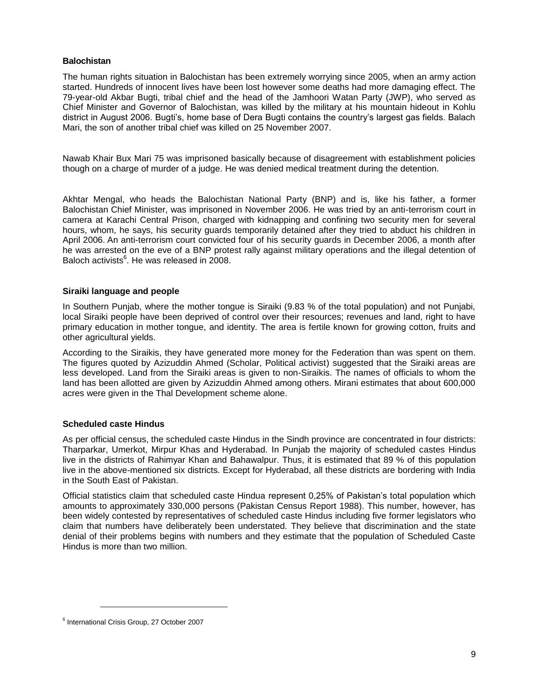# **Balochistan**

The human rights situation in Balochistan has been extremely worrying since 2005, when an army action started. Hundreds of innocent lives have been lost however some deaths had more damaging effect. The 79-year-old Akbar Bugti, tribal chief and the head of the Jamhoori Watan Party (JWP), who served as Chief Minister and Governor of Balochistan, was killed by the military at his mountain hideout in Kohlu district in August 2006. Bugti's, home base of Dera Bugti contains the country's largest gas fields. Balach Mari, the son of another tribal chief was killed on 25 November 2007.

Nawab Khair Bux Mari 75 was imprisoned basically because of disagreement with establishment policies though on a charge of murder of a judge. He was denied medical treatment during the detention.

Akhtar Mengal, who heads the Balochistan National Party (BNP) and is, like his father, a former Balochistan Chief Minister, was imprisoned in November 2006. He was tried by an anti-terrorism court in camera at Karachi Central Prison, charged with kidnapping and confining two security men for several hours, whom, he says, his security guards temporarily detained after they tried to abduct his children in April 2006. An anti-terrorism court convicted four of his security guards in December 2006, a month after he was arrested on the eve of a BNP protest rally against military operations and the illegal detention of Baloch activists<sup>6</sup>. He was released in 2008.

#### **Siraiki language and people**

In Southern Punjab, where the mother tongue is Siraiki (9.83 % of the total population) and not Punjabi, local Siraiki people have been deprived of control over their resources; revenues and land, right to have primary education in mother tongue, and identity. The area is fertile known for growing cotton, fruits and other agricultural yields.

According to the Siraikis, they have generated more money for the Federation than was spent on them. The figures quoted by Azizuddin Ahmed (Scholar, Political activist) suggested that the Siraiki areas are less developed. Land from the Siraiki areas is given to non-Siraikis. The names of officials to whom the land has been allotted are given by Azizuddin Ahmed among others. Mirani estimates that about 600,000 acres were given in the Thal Development scheme alone.

#### **Scheduled caste Hindus**

As per official census, the scheduled caste Hindus in the Sindh province are concentrated in four districts: Tharparkar, Umerkot, Mirpur Khas and Hyderabad. In Punjab the majority of scheduled castes Hindus live in the districts of Rahimyar Khan and Bahawalpur. Thus, it is estimated that 89 % of this population live in the above-mentioned six districts. Except for Hyderabad, all these districts are bordering with India in the South East of Pakistan.

Official statistics claim that scheduled caste Hindua represent 0,25% of Pakistan's total population which amounts to approximately 330,000 persons (Pakistan Census Report 1988). This number, however, has been widely contested by representatives of scheduled caste Hindus including five former legislators who claim that numbers have deliberately been understated. They believe that discrimination and the state denial of their problems begins with numbers and they estimate that the population of Scheduled Caste Hindus is more than two million.

<sup>6</sup> International Crisis Group, 27 October 2007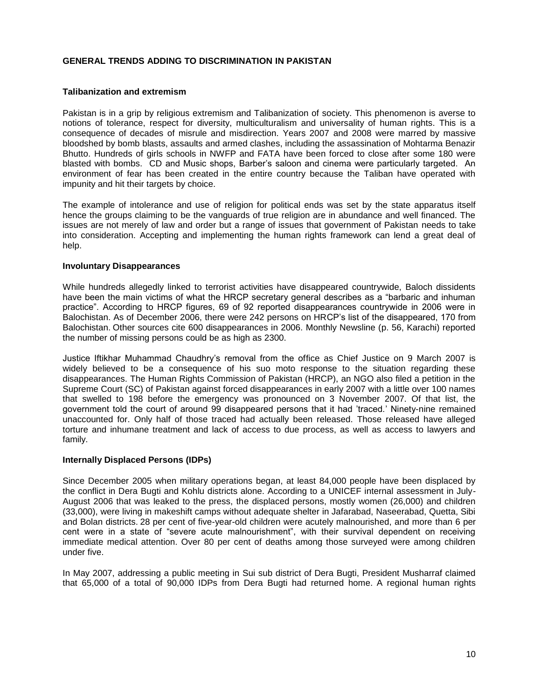# **GENERAL TRENDS ADDING TO DISCRIMINATION IN PAKISTAN**

#### **Talibanization and extremism**

Pakistan is in a grip by religious extremism and Talibanization of society. This phenomenon is averse to notions of tolerance, respect for diversity, multiculturalism and universality of human rights. This is a consequence of decades of misrule and misdirection. Years 2007 and 2008 were marred by massive bloodshed by bomb blasts, assaults and armed clashes, including the assassination of Mohtarma Benazir Bhutto. Hundreds of girls schools in NWFP and FATA have been forced to close after some 180 were blasted with bombs. CD and Music shops, Barber's saloon and cinema were particularly targeted. An environment of fear has been created in the entire country because the Taliban have operated with impunity and hit their targets by choice.

The example of intolerance and use of religion for political ends was set by the state apparatus itself hence the groups claiming to be the vanguards of true religion are in abundance and well financed. The issues are not merely of law and order but a range of issues that government of Pakistan needs to take into consideration. Accepting and implementing the human rights framework can lend a great deal of help.

#### **Involuntary Disappearances**

While hundreds allegedly linked to terrorist activities have disappeared countrywide, Baloch dissidents have been the main victims of what the HRCP secretary general describes as a "barbaric and inhuman practice". According to HRCP figures, 69 of 92 reported disappearances countrywide in 2006 were in Balochistan. As of December 2006, there were 242 persons on HRCP's list of the disappeared, 170 from Balochistan. Other sources cite 600 disappearances in 2006. Monthly Newsline (p. 56, Karachi) reported the number of missing persons could be as high as 2300.

Justice Iftikhar Muhammad Chaudhry's removal from the office as Chief Justice on 9 March 2007 is widely believed to be a consequence of his suo moto response to the situation regarding these disappearances. The Human Rights Commission of Pakistan (HRCP), an NGO also filed a petition in the Supreme Court (SC) of Pakistan against forced disappearances in early 2007 with a little over 100 names that swelled to 198 before the emergency was pronounced on 3 November 2007. Of that list, the government told the court of around 99 disappeared persons that it had 'traced.' Ninety-nine remained unaccounted for. Only half of those traced had actually been released. Those released have alleged torture and inhumane treatment and lack of access to due process, as well as access to lawyers and family.

#### **Internally Displaced Persons (IDPs)**

Since December 2005 when military operations began, at least 84,000 people have been displaced by the conflict in Dera Bugti and Kohlu districts alone. According to a UNICEF internal assessment in July-August 2006 that was leaked to the press, the displaced persons, mostly women (26,000) and children (33,000), were living in makeshift camps without adequate shelter in Jafarabad, Naseerabad, Quetta, Sibi and Bolan districts. 28 per cent of five-year-old children were acutely malnourished, and more than 6 per cent were in a state of "severe acute malnourishment", with their survival dependent on receiving immediate medical attention. Over 80 per cent of deaths among those surveyed were among children under five.

In May 2007, addressing a public meeting in Sui sub district of Dera Bugti, President Musharraf claimed that 65,000 of a total of 90,000 IDPs from Dera Bugti had returned home. A regional human rights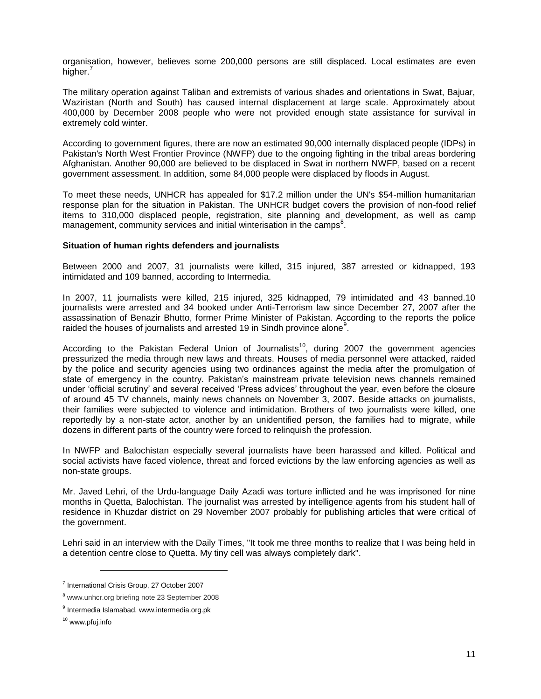organisation, however, believes some 200,000 persons are still displaced. Local estimates are even higher.<sup>7</sup>

The military operation against Taliban and extremists of various shades and orientations in Swat, Bajuar, Waziristan (North and South) has caused internal displacement at large scale. Approximately about 400,000 by December 2008 people who were not provided enough state assistance for survival in extremely cold winter.

According to government figures, there are now an estimated 90,000 internally displaced people (IDPs) in Pakistan's North West Frontier Province (NWFP) due to the ongoing fighting in the tribal areas bordering Afghanistan. Another 90,000 are believed to be displaced in Swat in northern NWFP, based on a recent government assessment. In addition, some 84,000 people were displaced by floods in August.

To meet these needs, UNHCR has appealed for \$17.2 million under the UN's \$54-million humanitarian response plan for the situation in Pakistan. The UNHCR budget covers the provision of non-food relief items to 310,000 displaced people, registration, site planning and development, as well as camp management, community services and initial winterisation in the camps<sup>8</sup>.

#### **Situation of human rights defenders and journalists**

Between 2000 and 2007, 31 journalists were killed, 315 injured, 387 arrested or kidnapped, 193 intimidated and 109 banned, according to Intermedia.

In 2007, 11 journalists were killed, 215 injured, 325 kidnapped, 79 intimidated and 43 banned.10 journalists were arrested and 34 booked under Anti-Terrorism law since December 27, 2007 after the assassination of Benazir Bhutto, former Prime Minister of Pakistan. According to the reports the police raided the houses of journalists and arrested 19 in Sindh province alone<sup>9</sup>.

According to the Pakistan Federal Union of Journalists<sup>10</sup>, during 2007 the government agencies pressurized the media through new laws and threats. Houses of media personnel were attacked, raided by the police and security agencies using two ordinances against the media after the promulgation of state of emergency in the country. Pakistan's mainstream private television news channels remained under 'official scrutiny' and several received 'Press advices' throughout the year, even before the closure of around 45 TV channels, mainly news channels on November 3, 2007. Beside attacks on journalists, their families were subjected to violence and intimidation. Brothers of two journalists were killed, one reportedly by a non-state actor, another by an unidentified person, the families had to migrate, while dozens in different parts of the country were forced to relinquish the profession.

In NWFP and Balochistan especially several journalists have been harassed and killed. Political and social activists have faced violence, threat and forced evictions by the law enforcing agencies as well as non-state groups.

Mr. Javed Lehri, of the Urdu-language Daily Azadi was torture inflicted and he was imprisoned for nine months in Quetta, Balochistan. The journalist was arrested by intelligence agents from his student hall of residence in Khuzdar district on 29 November 2007 probably for publishing articles that were critical of the government.

Lehri said in an interview with the Daily Times, "It took me three months to realize that I was being held in a detention centre close to Quetta. My tiny cell was always completely dark".

<sup>7</sup> International Crisis Group, 27 October 2007

<sup>8</sup> www.unhcr.org briefing note 23 September 2008

<sup>&</sup>lt;sup>9</sup> Intermedia Islamabad, www.intermedia.org.pk

<sup>&</sup>lt;sup>10</sup> www.pfuj.info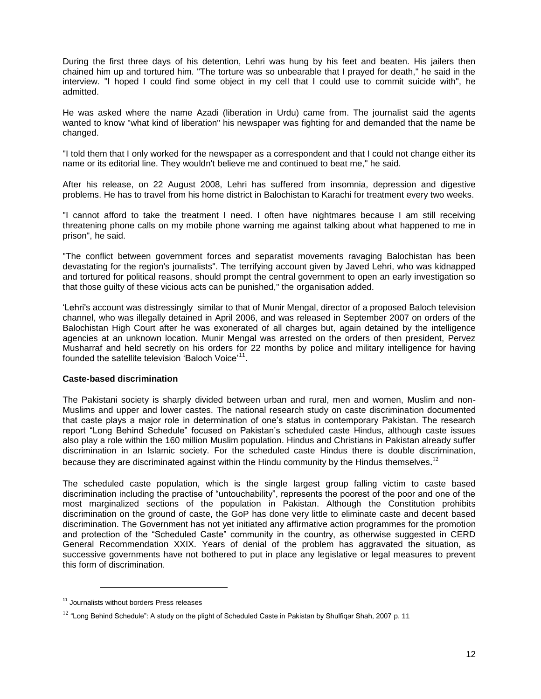During the first three days of his detention, Lehri was hung by his feet and beaten. His jailers then chained him up and tortured him. "The torture was so unbearable that I prayed for death," he said in the interview. "I hoped I could find some object in my cell that I could use to commit suicide with", he admitted.

He was asked where the name Azadi (liberation in Urdu) came from. The journalist said the agents wanted to know "what kind of liberation" his newspaper was fighting for and demanded that the name be changed.

"I told them that I only worked for the newspaper as a correspondent and that I could not change either its name or its editorial line. They wouldn't believe me and continued to beat me," he said.

After his release, on 22 August 2008, Lehri has suffered from insomnia, depression and digestive problems. He has to travel from his home district in Balochistan to Karachi for treatment every two weeks.

"I cannot afford to take the treatment I need. I often have nightmares because I am still receiving threatening phone calls on my mobile phone warning me against talking about what happened to me in prison", he said.

"The conflict between government forces and separatist movements ravaging Balochistan has been devastating for the region's journalists". The terrifying account given by Javed Lehri, who was kidnapped and tortured for political reasons, should prompt the central government to open an early investigation so that those guilty of these vicious acts can be punished," the organisation added.

‗Lehri's account was distressingly similar to that of Munir Mengal, director of a proposed Baloch television channel, who was illegally detained in April 2006, and was released in September 2007 on orders of the Balochistan High Court after he was exonerated of all charges but, again detained by the intelligence agencies at an unknown location. Munir Mengal was arrested on the orders of then president, Pervez Musharraf and held secretly on his orders for 22 months by police and military intelligence for having founded the satellite television 'Baloch Voice'<sup>11</sup>.

# **Caste-based discrimination**

The Pakistani society is sharply divided between urban and rural, men and women, Muslim and non-Muslims and upper and lower castes. The national research study on caste discrimination documented that caste plays a major role in determination of one's status in contemporary Pakistan. The research report "Long Behind Schedule" focused on Pakistan's scheduled caste Hindus, although caste issues also play a role within the 160 million Muslim population. Hindus and Christians in Pakistan already suffer discrimination in an Islamic society. For the scheduled caste Hindus there is double discrimination, because they are discriminated against within the Hindu community by the Hindus themselves.<sup>12</sup>

The scheduled caste population, which is the single largest group falling victim to caste based discrimination including the practise of "untouchability", represents the poorest of the poor and one of the most marginalized sections of the population in Pakistan. Although the Constitution prohibits discrimination on the ground of caste, the GoP has done very little to eliminate caste and decent based discrimination. The Government has not yet initiated any affirmative action programmes for the promotion and protection of the "Scheduled Caste" community in the country, as otherwise suggested in CERD General Recommendation XXIX. Years of denial of the problem has aggravated the situation, as successive governments have not bothered to put in place any legislative or legal measures to prevent this form of discrimination.

<sup>&</sup>lt;sup>11</sup> Journalists without borders Press releases

 $12$  "Long Behind Schedule": A study on the plight of Scheduled Caste in Pakistan by Shulfiqar Shah, 2007 p. 11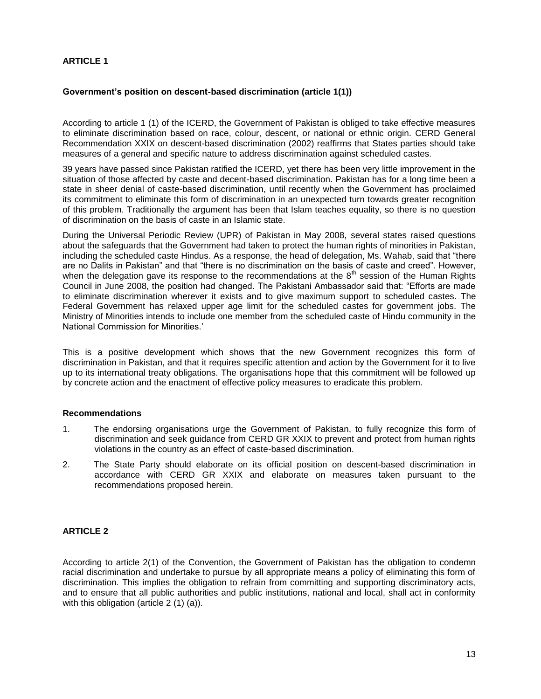# **ARTICLE 1**

## **Government's position on descent-based discrimination (article 1(1))**

According to article 1 (1) of the ICERD, the Government of Pakistan is obliged to take effective measures to eliminate discrimination based on race, colour, descent, or national or ethnic origin. CERD General Recommendation XXIX on descent-based discrimination (2002) reaffirms that States parties should take measures of a general and specific nature to address discrimination against scheduled castes.

39 years have passed since Pakistan ratified the ICERD, yet there has been very little improvement in the situation of those affected by caste and decent-based discrimination. Pakistan has for a long time been a state in sheer denial of caste-based discrimination, until recently when the Government has proclaimed its commitment to eliminate this form of discrimination in an unexpected turn towards greater recognition of this problem. Traditionally the argument has been that Islam teaches equality, so there is no question of discrimination on the basis of caste in an Islamic state.

During the Universal Periodic Review (UPR) of Pakistan in May 2008, several states raised questions about the safeguards that the Government had taken to protect the human rights of minorities in Pakistan, including the scheduled caste Hindus. As a response, the head of delegation, Ms. Wahab, said that "there are no Dalits in Pakistan" and that "there is no discrimination on the basis of caste and creed". However, when the delegation gave its response to the recommendations at the  $8<sup>th</sup>$  session of the Human Rights Council in June 2008, the position had changed. The Pakistani Ambassador said that: "Efforts are made to eliminate discrimination wherever it exists and to give maximum support to scheduled castes. The Federal Government has relaxed upper age limit for the scheduled castes for government jobs. The Ministry of Minorities intends to include one member from the scheduled caste of Hindu community in the National Commission for Minorities.'

This is a positive development which shows that the new Government recognizes this form of discrimination in Pakistan, and that it requires specific attention and action by the Government for it to live up to its international treaty obligations. The organisations hope that this commitment will be followed up by concrete action and the enactment of effective policy measures to eradicate this problem.

#### **Recommendations**

- 1. The endorsing organisations urge the Government of Pakistan, to fully recognize this form of discrimination and seek guidance from CERD GR XXIX to prevent and protect from human rights violations in the country as an effect of caste-based discrimination.
- 2. The State Party should elaborate on its official position on descent-based discrimination in accordance with CERD GR XXIX and elaborate on measures taken pursuant to the recommendations proposed herein.

# **ARTICLE 2**

According to article 2(1) of the Convention, the Government of Pakistan has the obligation to condemn racial discrimination and undertake to pursue by all appropriate means a policy of eliminating this form of discrimination. This implies the obligation to refrain from committing and supporting discriminatory acts, and to ensure that all public authorities and public institutions, national and local, shall act in conformity with this obligation (article 2 (1) (a)).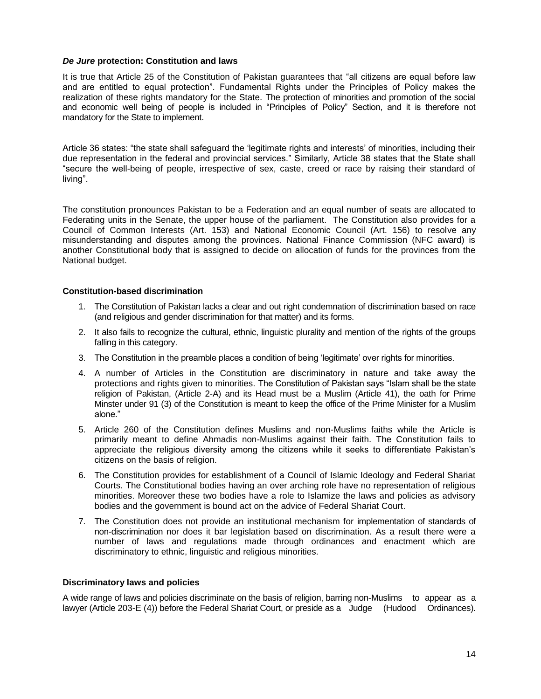#### *De Jure* **protection: Constitution and laws**

It is true that Article 25 of the Constitution of Pakistan guarantees that "all citizens are equal before law and are entitled to equal protection". Fundamental Rights under the Principles of Policy makes the realization of these rights mandatory for the State. The protection of minorities and promotion of the social and economic well being of people is included in "Principles of Policy" Section, and it is therefore not mandatory for the State to implement.

Article 36 states: "the state shall safeguard the 'legitimate rights and interests' of minorities, including their due representation in the federal and provincial services." Similarly, Article 38 states that the State shall ―secure the well-being of people, irrespective of sex, caste, creed or race by raising their standard of living".

The constitution pronounces Pakistan to be a Federation and an equal number of seats are allocated to Federating units in the Senate, the upper house of the parliament. The Constitution also provides for a Council of Common Interests (Art. 153) and National Economic Council (Art. 156) to resolve any misunderstanding and disputes among the provinces. National Finance Commission (NFC award) is another Constitutional body that is assigned to decide on allocation of funds for the provinces from the National budget.

# **Constitution-based discrimination**

- 1. The Constitution of Pakistan lacks a clear and out right condemnation of discrimination based on race (and religious and gender discrimination for that matter) and its forms.
- 2. It also fails to recognize the cultural, ethnic, linguistic plurality and mention of the rights of the groups falling in this category.
- 3. The Constitution in the preamble places a condition of being 'legitimate' over rights for minorities.
- 4. A number of Articles in the Constitution are discriminatory in nature and take away the protections and rights given to minorities. The Constitution of Pakistan says "Islam shall be the state religion of Pakistan, (Article 2-A) and its Head must be a Muslim (Article 41), the oath for Prime Minster under 91 (3) of the Constitution is meant to keep the office of the Prime Minister for a Muslim alone."
- 5. Article 260 of the Constitution defines Muslims and non-Muslims faiths while the Article is primarily meant to define Ahmadis non-Muslims against their faith. The Constitution fails to appreciate the religious diversity among the citizens while it seeks to differentiate Pakistan's citizens on the basis of religion.
- 6. The Constitution provides for establishment of a Council of Islamic Ideology and Federal Shariat Courts. The Constitutional bodies having an over arching role have no representation of religious minorities. Moreover these two bodies have a role to Islamize the laws and policies as advisory bodies and the government is bound act on the advice of Federal Shariat Court.
- 7. The Constitution does not provide an institutional mechanism for implementation of standards of non-discrimination nor does it bar legislation based on discrimination. As a result there were a number of laws and regulations made through ordinances and enactment which are discriminatory to ethnic, linguistic and religious minorities.

#### **Discriminatory laws and policies**

A wide range of laws and policies discriminate on the basis of religion, barring non-Muslims to appear as a lawyer (Article 203-E (4)) before the Federal Shariat Court, or preside as a Judge (Hudood Ordinances).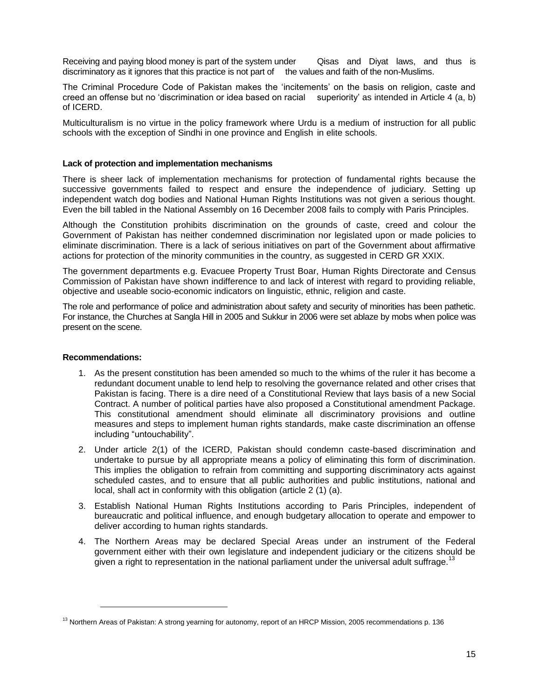Receiving and paying blood money is part of the system under Clisas and Diyat laws, and thus is discriminatory as it ignores that this practice is not part of the values and faith of the non-Muslims.

The Criminal Procedure Code of Pakistan makes the 'incitements' on the basis on religion, caste and creed an offense but no 'discrimination or idea based on racial superiority' as intended in Article 4 (a, b) of ICERD.

Multiculturalism is no virtue in the policy framework where Urdu is a medium of instruction for all public schools with the exception of Sindhi in one province and English in elite schools.

#### **Lack of protection and implementation mechanisms**

There is sheer lack of implementation mechanisms for protection of fundamental rights because the successive governments failed to respect and ensure the independence of judiciary. Setting up independent watch dog bodies and National Human Rights Institutions was not given a serious thought. Even the bill tabled in the National Assembly on 16 December 2008 fails to comply with Paris Principles.

Although the Constitution prohibits discrimination on the grounds of caste, creed and colour the Government of Pakistan has neither condemned discrimination nor legislated upon or made policies to eliminate discrimination. There is a lack of serious initiatives on part of the Government about affirmative actions for protection of the minority communities in the country, as suggested in CERD GR XXIX.

The government departments e.g. Evacuee Property Trust Boar, Human Rights Directorate and Census Commission of Pakistan have shown indifference to and lack of interest with regard to providing reliable, objective and useable socio-economic indicators on linguistic, ethnic, religion and caste.

The role and performance of police and administration about safety and security of minorities has been pathetic. For instance, the Churches at Sangla Hill in 2005 and Sukkur in 2006 were set ablaze by mobs when police was present on the scene.

#### **Recommendations:**

- 1. As the present constitution has been amended so much to the whims of the ruler it has become a redundant document unable to lend help to resolving the governance related and other crises that Pakistan is facing. There is a dire need of a Constitutional Review that lays basis of a new Social Contract. A number of political parties have also proposed a Constitutional amendment Package. This constitutional amendment should eliminate all discriminatory provisions and outline measures and steps to implement human rights standards, make caste discrimination an offense including "untouchability".
- 2. Under article 2(1) of the ICERD, Pakistan should condemn caste-based discrimination and undertake to pursue by all appropriate means a policy of eliminating this form of discrimination. This implies the obligation to refrain from committing and supporting discriminatory acts against scheduled castes, and to ensure that all public authorities and public institutions, national and local, shall act in conformity with this obligation (article 2 (1) (a).
- 3. Establish National Human Rights Institutions according to Paris Principles, independent of bureaucratic and political influence, and enough budgetary allocation to operate and empower to deliver according to human rights standards.
- 4. The Northern Areas may be declared Special Areas under an instrument of the Federal government either with their own legislature and independent judiciary or the citizens should be given a right to representation in the national parliament under the universal adult suffrage.<sup>13</sup>

<sup>&</sup>lt;sup>13</sup> Northern Areas of Pakistan: A strong yearning for autonomy, report of an HRCP Mission, 2005 recommendations p. 136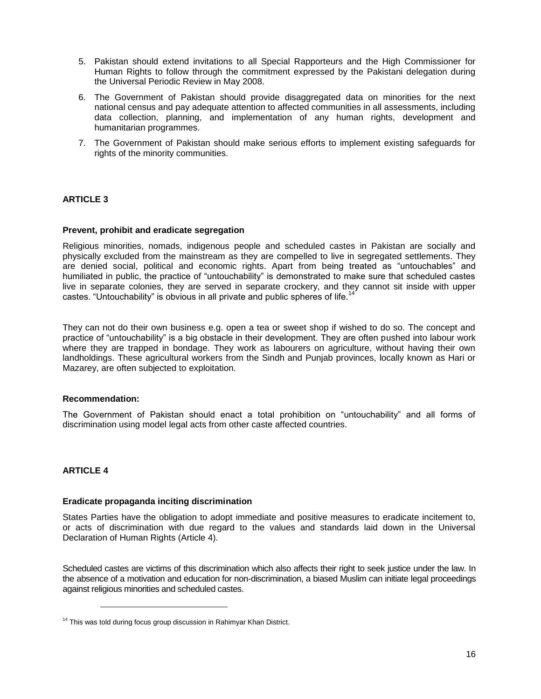- 5. Pakistan should extend invitations to all Special Rapporteurs and the High Commissioner for Human Rights to follow through the commitment expressed by the Pakistani delegation during the Universal Periodic Review in May 2008.
- 6. The Government of Pakistan should provide disaggregated data on minorities for the next national census and pay adequate attention to affected communities in all assessments, including data collection, planning, and implementation of any human rights, development and humanitarian programmes.
- 7. The Government of Pakistan should make serious efforts to implement existing safeguards for rights of the minority communities.

# **ARTICLE 3**

#### **Prevent, prohibit and eradicate segregation**

Religious minorities, nomads, indigenous people and scheduled castes in Pakistan are socially and physically excluded from the mainstream as they are compelled to live in segregated settlements. They are denied social, political and economic rights. Apart from being treated as "untouchables" and humiliated in public, the practice of "untouchability" is demonstrated to make sure that scheduled castes live in separate colonies, they are served in separate crockery, and they cannot sit inside with upper castes. "Untouchability" is obvious in all private and public spheres of life.<sup>1</sup>

They can not do their own business e.g. open a tea or sweet shop if wished to do so. The concept and practice of "untouchability" is a big obstacle in their development. They are often pushed into labour work where they are trapped in bondage. They work as labourers on agriculture, without having their own landholdings. These agricultural workers from the Sindh and Punjab provinces, locally known as Hari or Mazarey, are often subjected to exploitation.

#### **Recommendation:**

 $\overline{a}$ 

The Government of Pakistan should enact a total prohibition on "untouchability" and all forms of discrimination using model legal acts from other caste affected countries.

# **ARTICLE 4**

#### **Eradicate propaganda inciting discrimination**

States Parties have the obligation to adopt immediate and positive measures to eradicate incitement to, or acts of discrimination with due regard to the values and standards laid down in the Universal Declaration of Human Rights (Article 4).

Scheduled castes are victims of this discrimination which also affects their right to seek justice under the law. In the absence of a motivation and education for non-discrimination, a biased Muslim can initiate legal proceedings against religious minorities and scheduled castes.

<sup>&</sup>lt;sup>14</sup> This was told during focus group discussion in Rahimyar Khan District.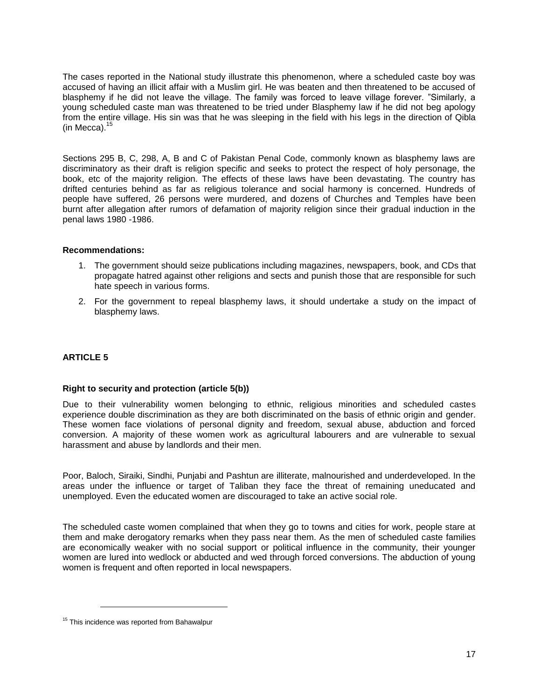The cases reported in the National study illustrate this phenomenon, where a scheduled caste boy was accused of having an illicit affair with a Muslim girl. He was beaten and then threatened to be accused of blasphemy if he did not leave the village. The family was forced to leave village forever. "Similarly, a young scheduled caste man was threatened to be tried under Blasphemy law if he did not beg apology from the entire village. His sin was that he was sleeping in the field with his legs in the direction of Qibla (in Mecca). $15$ 

Sections 295 B, C, 298, A, B and C of Pakistan Penal Code, commonly known as blasphemy laws are discriminatory as their draft is religion specific and seeks to protect the respect of holy personage, the book, etc of the majority religion. The effects of these laws have been devastating. The country has drifted centuries behind as far as religious tolerance and social harmony is concerned. Hundreds of people have suffered, 26 persons were murdered, and dozens of Churches and Temples have been burnt after allegation after rumors of defamation of majority religion since their gradual induction in the penal laws 1980 -1986.

#### **Recommendations:**

- 1. The government should seize publications including magazines, newspapers, book, and CDs that propagate hatred against other religions and sects and punish those that are responsible for such hate speech in various forms.
- 2. For the government to repeal blasphemy laws, it should undertake a study on the impact of blasphemy laws.

# **ARTICLE 5**

#### **Right to security and protection (article 5(b))**

Due to their vulnerability women belonging to ethnic, religious minorities and scheduled castes experience double discrimination as they are both discriminated on the basis of ethnic origin and gender. These women face violations of personal dignity and freedom, sexual abuse, abduction and forced conversion. A majority of these women work as agricultural labourers and are vulnerable to sexual harassment and abuse by landlords and their men.

Poor, Baloch, Siraiki, Sindhi, Punjabi and Pashtun are illiterate, malnourished and underdeveloped. In the areas under the influence or target of Taliban they face the threat of remaining uneducated and unemployed. Even the educated women are discouraged to take an active social role.

The scheduled caste women complained that when they go to towns and cities for work, people stare at them and make derogatory remarks when they pass near them. As the men of scheduled caste families are economically weaker with no social support or political influence in the community, their younger women are lured into wedlock or abducted and wed through forced conversions. The abduction of young women is frequent and often reported in local newspapers.

<sup>&</sup>lt;sup>15</sup> This incidence was reported from Bahawalpur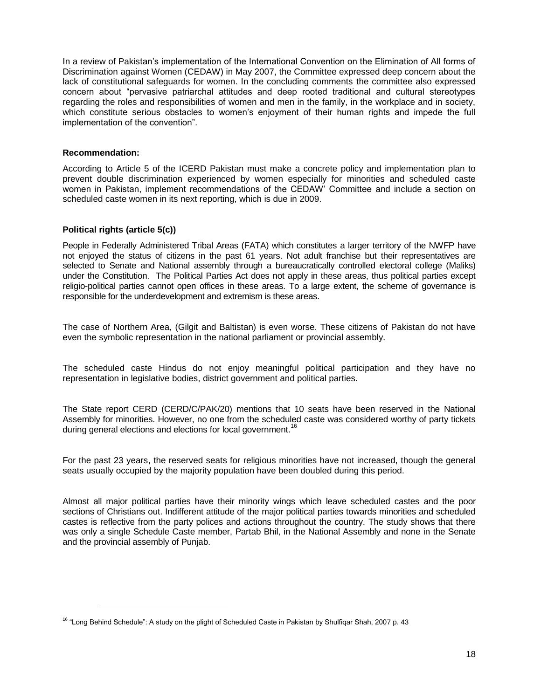In a review of Pakistan's implementation of the International Convention on the Elimination of All forms of Discrimination against Women (CEDAW) in May 2007, the Committee expressed deep concern about the lack of constitutional safeguards for women. In the concluding comments the committee also expressed concern about "pervasive patriarchal attitudes and deep rooted traditional and cultural stereotypes regarding the roles and responsibilities of women and men in the family, in the workplace and in society, which constitute serious obstacles to women's enjoyment of their human rights and impede the full implementation of the convention".

## **Recommendation:**

 $\overline{a}$ 

According to Article 5 of the ICERD Pakistan must make a concrete policy and implementation plan to prevent double discrimination experienced by women especially for minorities and scheduled caste women in Pakistan, implement recommendations of the CEDAW' Committee and include a section on scheduled caste women in its next reporting, which is due in 2009.

# **Political rights (article 5(c))**

People in Federally Administered Tribal Areas (FATA) which constitutes a larger territory of the NWFP have not enjoyed the status of citizens in the past 61 years. Not adult franchise but their representatives are selected to Senate and National assembly through a bureaucratically controlled electoral college (Maliks) under the Constitution. The Political Parties Act does not apply in these areas, thus political parties except religio-political parties cannot open offices in these areas. To a large extent, the scheme of governance is responsible for the underdevelopment and extremism is these areas.

The case of Northern Area, (Gilgit and Baltistan) is even worse. These citizens of Pakistan do not have even the symbolic representation in the national parliament or provincial assembly.

The scheduled caste Hindus do not enjoy meaningful political participation and they have no representation in legislative bodies, district government and political parties.

The State report CERD (CERD/C/PAK/20) mentions that 10 seats have been reserved in the National Assembly for minorities. However, no one from the scheduled caste was considered worthy of party tickets during general elections and elections for local government.<sup>16</sup>

For the past 23 years, the reserved seats for religious minorities have not increased, though the general seats usually occupied by the majority population have been doubled during this period.

Almost all major political parties have their minority wings which leave scheduled castes and the poor sections of Christians out. Indifferent attitude of the major political parties towards minorities and scheduled castes is reflective from the party polices and actions throughout the country. The study shows that there was only a single Schedule Caste member, Partab Bhil, in the National Assembly and none in the Senate and the provincial assembly of Punjab.

<sup>&</sup>lt;sup>16</sup> "Long Behind Schedule": A study on the plight of Scheduled Caste in Pakistan by Shulfiqar Shah, 2007 p. 43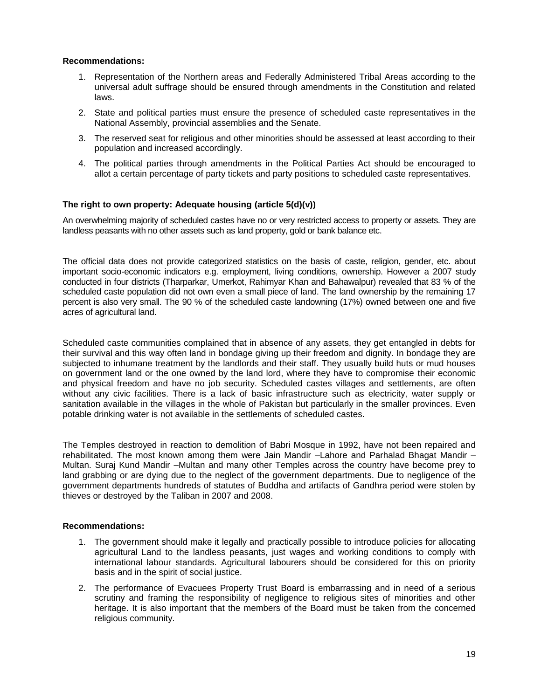## **Recommendations:**

- 1. Representation of the Northern areas and Federally Administered Tribal Areas according to the universal adult suffrage should be ensured through amendments in the Constitution and related laws.
- 2. State and political parties must ensure the presence of scheduled caste representatives in the National Assembly, provincial assemblies and the Senate.
- 3. The reserved seat for religious and other minorities should be assessed at least according to their population and increased accordingly.
- 4. The political parties through amendments in the Political Parties Act should be encouraged to allot a certain percentage of party tickets and party positions to scheduled caste representatives.

# **The right to own property: Adequate housing (article 5(d)(v))**

An overwhelming majority of scheduled castes have no or very restricted access to property or assets. They are landless peasants with no other assets such as land property, gold or bank balance etc.

The official data does not provide categorized statistics on the basis of caste, religion, gender, etc. about important socio-economic indicators e.g. employment, living conditions, ownership. However a 2007 study conducted in four districts (Tharparkar, Umerkot, Rahimyar Khan and Bahawalpur) revealed that 83 % of the scheduled caste population did not own even a small piece of land. The land ownership by the remaining 17 percent is also very small. The 90 % of the scheduled caste landowning (17%) owned between one and five acres of agricultural land.

Scheduled caste communities complained that in absence of any assets, they get entangled in debts for their survival and this way often land in bondage giving up their freedom and dignity. In bondage they are subjected to inhumane treatment by the landlords and their staff. They usually build huts or mud houses on government land or the one owned by the land lord, where they have to compromise their economic and physical freedom and have no job security. Scheduled castes villages and settlements, are often without any civic facilities. There is a lack of basic infrastructure such as electricity, water supply or sanitation available in the villages in the whole of Pakistan but particularly in the smaller provinces. Even potable drinking water is not available in the settlements of scheduled castes.

The Temples destroyed in reaction to demolition of Babri Mosque in 1992, have not been repaired and rehabilitated. The most known among them were Jain Mandir –Lahore and Parhalad Bhagat Mandir – Multan. Suraj Kund Mandir –Multan and many other Temples across the country have become prey to land grabbing or are dying due to the neglect of the government departments. Due to negligence of the government departments hundreds of statutes of Buddha and artifacts of Gandhra period were stolen by thieves or destroyed by the Taliban in 2007 and 2008.

#### **Recommendations:**

- 1. The government should make it legally and practically possible to introduce policies for allocating agricultural Land to the landless peasants, just wages and working conditions to comply with international labour standards. Agricultural labourers should be considered for this on priority basis and in the spirit of social justice.
- 2. The performance of Evacuees Property Trust Board is embarrassing and in need of a serious scrutiny and framing the responsibility of negligence to religious sites of minorities and other heritage. It is also important that the members of the Board must be taken from the concerned religious community.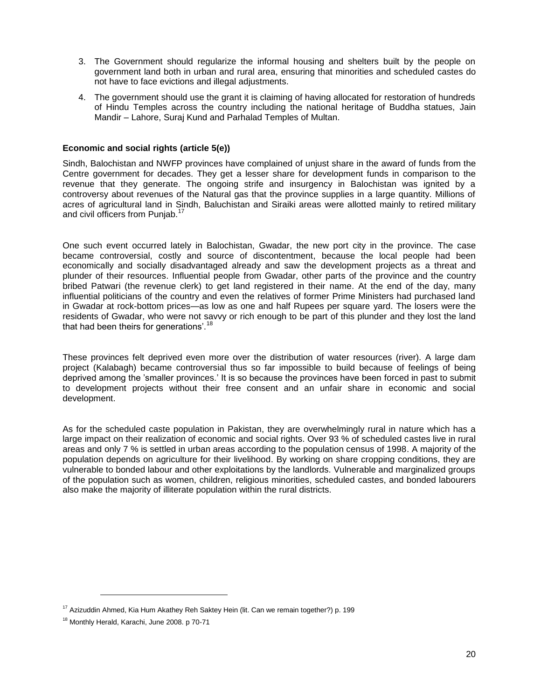- 3. The Government should regularize the informal housing and shelters built by the people on government land both in urban and rural area, ensuring that minorities and scheduled castes do not have to face evictions and illegal adjustments.
- 4. The government should use the grant it is claiming of having allocated for restoration of hundreds of Hindu Temples across the country including the national heritage of Buddha statues, Jain Mandir – Lahore, Suraj Kund and Parhalad Temples of Multan.

# **Economic and social rights (article 5(e))**

Sindh, Balochistan and NWFP provinces have complained of unjust share in the award of funds from the Centre government for decades. They get a lesser share for development funds in comparison to the revenue that they generate. The ongoing strife and insurgency in Balochistan was ignited by a controversy about revenues of the Natural gas that the province supplies in a large quantity. Millions of acres of agricultural land in Sindh, Baluchistan and Siraiki areas were allotted mainly to retired military and civil officers from Punjab.<sup>17</sup>

One such event occurred lately in Balochistan, Gwadar, the new port city in the province. The case became controversial, costly and source of discontentment, because the local people had been economically and socially disadvantaged already and saw the development projects as a threat and plunder of their resources. Influential people from Gwadar, other parts of the province and the country bribed Patwari (the revenue clerk) to get land registered in their name. At the end of the day, many influential politicians of the country and even the relatives of former Prime Ministers had purchased land in Gwadar at rock-bottom prices—as low as one and half Rupees per square yard. The losers were the residents of Gwadar, who were not savvy or rich enough to be part of this plunder and they lost the land that had been theirs for generations'.<sup>18</sup>

These provinces felt deprived even more over the distribution of water resources (river). A large dam project (Kalabagh) became controversial thus so far impossible to build because of feelings of being deprived among the 'smaller provinces.' It is so because the provinces have been forced in past to submit to development projects without their free consent and an unfair share in economic and social development.

As for the scheduled caste population in Pakistan, they are overwhelmingly rural in nature which has a large impact on their realization of economic and social rights. Over 93 % of scheduled castes live in rural areas and only 7 % is settled in urban areas according to the population census of 1998. A majority of the population depends on agriculture for their livelihood. By working on share cropping conditions, they are vulnerable to bonded labour and other exploitations by the landlords. Vulnerable and marginalized groups of the population such as women, children, religious minorities, scheduled castes, and bonded labourers also make the majority of illiterate population within the rural districts.

<sup>&</sup>lt;sup>17</sup> Azizuddin Ahmed, Kia Hum Akathey Reh Saktey Hein (lit. Can we remain together?) p. 199

<sup>18</sup> Monthly Herald, Karachi, June 2008. p 70-71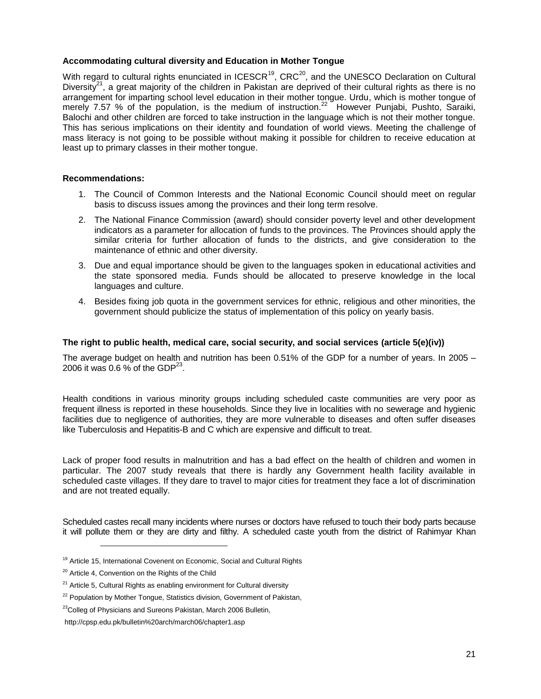## **Accommodating cultural diversity and Education in Mother Tongue**

With regard to cultural rights enunciated in ICESCR<sup>19</sup>, CRC<sup>20</sup>, and the UNESCO Declaration on Cultural Diversity<sup>21</sup>, a great majority of the children in Pakistan are deprived of their cultural rights as there is no arrangement for imparting school level education in their mother tongue. Urdu, which is mother tongue of merely 7.57 % of the population, is the medium of instruction.<sup>22</sup> However Punjabi, Pushto, Saraiki, Balochi and other children are forced to take instruction in the language which is not their mother tongue. This has serious implications on their identity and foundation of world views. Meeting the challenge of mass literacy is not going to be possible without making it possible for children to receive education at least up to primary classes in their mother tongue.

# **Recommendations:**

- 1. The Council of Common Interests and the National Economic Council should meet on regular basis to discuss issues among the provinces and their long term resolve.
- 2. The National Finance Commission (award) should consider poverty level and other development indicators as a parameter for allocation of funds to the provinces. The Provinces should apply the similar criteria for further allocation of funds to the districts, and give consideration to the maintenance of ethnic and other diversity.
- 3. Due and equal importance should be given to the languages spoken in educational activities and the state sponsored media. Funds should be allocated to preserve knowledge in the local languages and culture.
- 4. Besides fixing job quota in the government services for ethnic, religious and other minorities, the government should publicize the status of implementation of this policy on yearly basis.

# **The right to public health, medical care, social security, and social services (article 5(e)(iv))**

The average budget on health and nutrition has been 0.51% of the GDP for a number of years. In 2005 – 2006 it was 0.6 % of the GDP $^{23}$ .

Health conditions in various minority groups including scheduled caste communities are very poor as frequent illness is reported in these households. Since they live in localities with no sewerage and hygienic facilities due to negligence of authorities, they are more vulnerable to diseases and often suffer diseases like Tuberculosis and Hepatitis-B and C which are expensive and difficult to treat.

Lack of proper food results in malnutrition and has a bad effect on the health of children and women in particular. The 2007 study reveals that there is hardly any Government health facility available in scheduled caste villages. If they dare to travel to major cities for treatment they face a lot of discrimination and are not treated equally.

Scheduled castes recall many incidents where nurses or doctors have refused to touch their body parts because it will pollute them or they are dirty and filthy. A scheduled caste youth from the district of Rahimyar Khan

<sup>&</sup>lt;sup>19</sup> Article 15, International Covenent on Economic, Social and Cultural Rights

<sup>&</sup>lt;sup>20</sup> Article 4, Convention on the Rights of the Child

 $21$  Article 5, Cultural Rights as enabling environment for Cultural diversity

<sup>&</sup>lt;sup>22</sup> Population by Mother Tongue, Statistics division, Government of Pakistan,

<sup>&</sup>lt;sup>23</sup>Colleg of Physicians and Sureons Pakistan, March 2006 Bulletin,

http://cpsp.edu.pk/bulletin%20arch/march06/chapter1.asp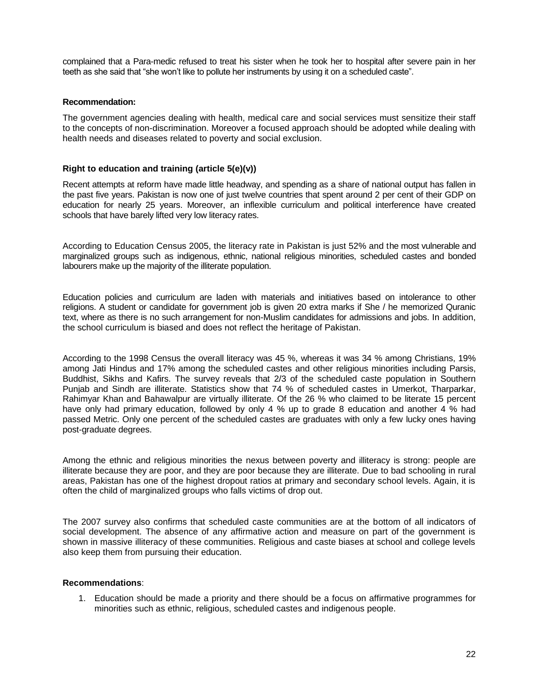complained that a Para-medic refused to treat his sister when he took her to hospital after severe pain in her teeth as she said that "she won't like to pollute her instruments by using it on a scheduled caste".

#### **Recommendation:**

The government agencies dealing with health, medical care and social services must sensitize their staff to the concepts of non-discrimination. Moreover a focused approach should be adopted while dealing with health needs and diseases related to poverty and social exclusion.

#### **Right to education and training (article 5(e)(v))**

Recent attempts at reform have made little headway, and spending as a share of national output has fallen in the past five years. Pakistan is now one of just twelve countries that spent around 2 per cent of their GDP on education for nearly 25 years. Moreover, an inflexible curriculum and political interference have created schools that have barely lifted very low literacy rates.

According to Education Census 2005, the literacy rate in Pakistan is just 52% and the most vulnerable and marginalized groups such as indigenous, ethnic, national religious minorities, scheduled castes and bonded labourers make up the majority of the illiterate population.

Education policies and curriculum are laden with materials and initiatives based on intolerance to other religions. A student or candidate for government job is given 20 extra marks if She / he memorized Quranic text, where as there is no such arrangement for non-Muslim candidates for admissions and jobs. In addition, the school curriculum is biased and does not reflect the heritage of Pakistan.

According to the 1998 Census the overall literacy was 45 %, whereas it was 34 % among Christians, 19% among Jati Hindus and 17% among the scheduled castes and other religious minorities including Parsis, Buddhist, Sikhs and Kafirs. The survey reveals that 2/3 of the scheduled caste population in Southern Punjab and Sindh are illiterate. Statistics show that 74 % of scheduled castes in Umerkot, Tharparkar, Rahimyar Khan and Bahawalpur are virtually illiterate. Of the 26 % who claimed to be literate 15 percent have only had primary education, followed by only 4 % up to grade 8 education and another 4 % had passed Metric. Only one percent of the scheduled castes are graduates with only a few lucky ones having post-graduate degrees.

Among the ethnic and religious minorities the nexus between poverty and illiteracy is strong: people are illiterate because they are poor, and they are poor because they are illiterate. Due to bad schooling in rural areas, Pakistan has one of the highest dropout ratios at primary and secondary school levels. Again, it is often the child of marginalized groups who falls victims of drop out.

The 2007 survey also confirms that scheduled caste communities are at the bottom of all indicators of social development. The absence of any affirmative action and measure on part of the government is shown in massive illiteracy of these communities. Religious and caste biases at school and college levels also keep them from pursuing their education.

#### **Recommendations**:

1. Education should be made a priority and there should be a focus on affirmative programmes for minorities such as ethnic, religious, scheduled castes and indigenous people.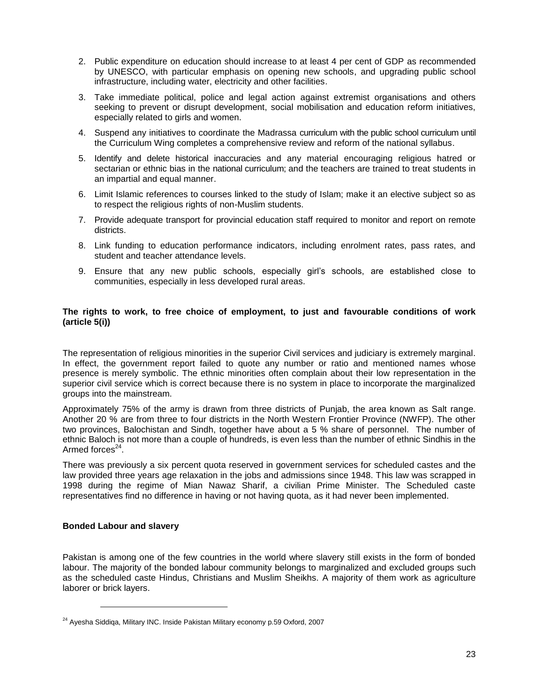- 2. Public expenditure on education should increase to at least 4 per cent of GDP as recommended by UNESCO, with particular emphasis on opening new schools, and upgrading public school infrastructure, including water, electricity and other facilities.
- 3. Take immediate political, police and legal action against extremist organisations and others seeking to prevent or disrupt development, social mobilisation and education reform initiatives, especially related to girls and women.
- 4. Suspend any initiatives to coordinate the Madrassa curriculum with the public school curriculum until the Curriculum Wing completes a comprehensive review and reform of the national syllabus.
- 5. Identify and delete historical inaccuracies and any material encouraging religious hatred or sectarian or ethnic bias in the national curriculum; and the teachers are trained to treat students in an impartial and equal manner.
- 6. Limit Islamic references to courses linked to the study of Islam; make it an elective subject so as to respect the religious rights of non-Muslim students.
- 7. Provide adequate transport for provincial education staff required to monitor and report on remote districts.
- 8. Link funding to education performance indicators, including enrolment rates, pass rates, and student and teacher attendance levels.
- 9. Ensure that any new public schools, especially girl's schools, are established close to communities, especially in less developed rural areas.

## **The rights to work, to free choice of employment, to just and favourable conditions of work (article 5(i))**

The representation of religious minorities in the superior Civil services and judiciary is extremely marginal. In effect, the government report failed to quote any number or ratio and mentioned names whose presence is merely symbolic. The ethnic minorities often complain about their low representation in the superior civil service which is correct because there is no system in place to incorporate the marginalized groups into the mainstream.

Approximately 75% of the army is drawn from three districts of Punjab, the area known as Salt range. Another 20 % are from three to four districts in the North Western Frontier Province (NWFP). The other two provinces, Balochistan and Sindh, together have about a 5 % share of personnel. The number of ethnic Baloch is not more than a couple of hundreds, is even less than the number of ethnic Sindhis in the Armed forces<sup>24</sup>.

There was previously a six percent quota reserved in government services for scheduled castes and the law provided three years age relaxation in the jobs and admissions since 1948. This law was scrapped in 1998 during the regime of Mian Nawaz Sharif, a civilian Prime Minister. The Scheduled caste representatives find no difference in having or not having quota, as it had never been implemented.

#### **Bonded Labour and slavery**

 $\overline{a}$ 

Pakistan is among one of the few countries in the world where slavery still exists in the form of bonded labour. The majority of the bonded labour community belongs to marginalized and excluded groups such as the scheduled caste Hindus, Christians and Muslim Sheikhs. A majority of them work as agriculture laborer or brick layers.

<sup>&</sup>lt;sup>24</sup> Ayesha Siddiqa, Military INC. Inside Pakistan Military economy p.59 Oxford, 2007